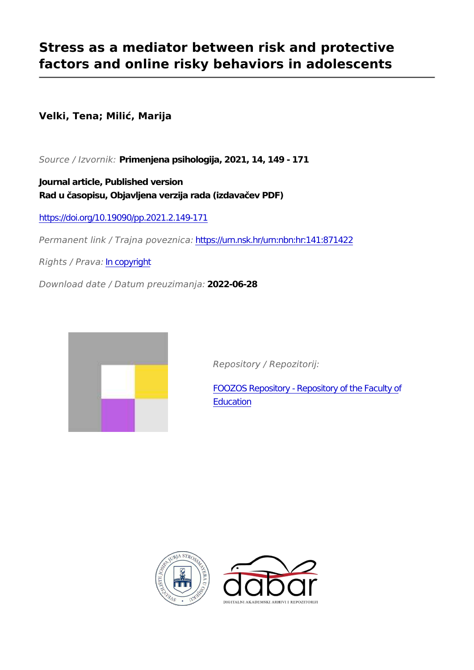# **Stress as a mediator between risk and protective factors and online risky behaviors in adolescents**

**Velki, Tena; Milić, Marija**

*Source / Izvornik:* **Primenjena psihologija, 2021, 14, 149 - 171**

**Journal article, Published version Rad u časopisu, Objavljena verzija rada (izdavačev PDF)**

<https://doi.org/10.19090/pp.2021.2.149-171>

*Permanent link / Trajna poveznica:* <https://urn.nsk.hr/urn:nbn:hr:141:871422>

*Rights / Prava:* [In copyright](http://rightsstatements.org/vocab/InC/1.0/)

*Download date / Datum preuzimanja:* **2022-06-28**



*Repository / Repozitorij:*

[FOOZOS Repository - Repository of the Faculty o](https://repozitorij.foozos.hr)f **[Education](https://repozitorij.foozos.hr)** 



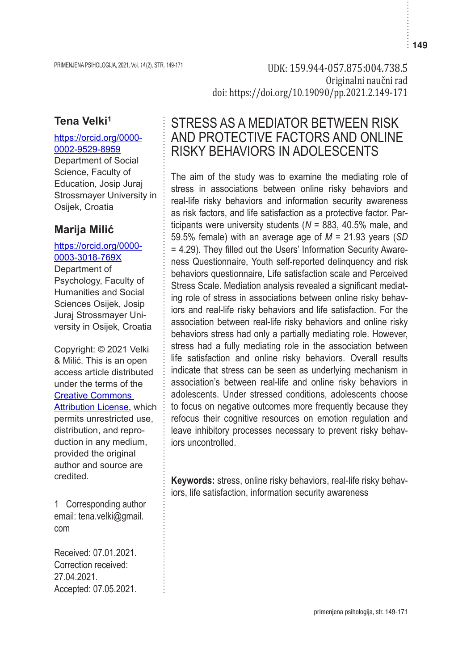PRIMENJENA PSIHOLOGIJA, 2021, Vol. 14 (2), STR. 149-171 UDK: 159.944-057.875:004.738.5 Originalni naučni rad doi: https://doi.org/10.19090/pp.2021.2.149-171

## **Tena Velki1**

#### https://orcid.org/0000- 0002-9529-8959

Department of Social Science, Faculty of Education, Josip Juraj Strossmayer University in Osijek, Croatia

## **Marija Milić**

### https://orcid.org/0000- 0003-3018-769X

Department of Psychology, Faculty of Humanities and Social Sciences Osijek, Josip Juraj Strossmayer University in Osijek, Croatia

Copyright: © 2021 Velki & Milić. This is an open access article distributed under the terms of the Creative Commons Attribution License, which permits unrestricted use, distribution, and reproduction in any medium, provided the original author and source are credited.

1 Corresponding author email: tena.velki@gmail. com

Received: 07.01.2021. Correction received: 27.04.2021. Accepted: 07.05.2021.

# STRESS AS A MEDIATOR BETWEEN RISK AND PROTECTIVE FACTORS AND ONLINE RISKY BEHAVIORS IN ADOLESCENTS

The aim of the study was to examine the mediating role of stress in associations between online risky behaviors and real-life risky behaviors and information security awareness as risk factors, and life satisfaction as a protective factor. Participants were university students (*N* = 883, 40.5% male, and 59.5% female) with an average age of *M* = 21.93 years (*SD*  = 4.29). They filled out the Users' Information Security Awareness Questionnaire, Youth self-reported delinquency and risk behaviors questionnaire, Life satisfaction scale and Perceived Stress Scale. Mediation analysis revealed a significant mediating role of stress in associations between online risky behaviors and real-life risky behaviors and life satisfaction. For the association between real-life risky behaviors and online risky behaviors stress had only a partially mediating role. However, stress had a fully mediating role in the association between life satisfaction and online risky behaviors. Overall results indicate that stress can be seen as underlying mechanism in association's between real-life and online risky behaviors in adolescents. Under stressed conditions, adolescents choose to focus on negative outcomes more frequently because they refocus their cognitive resources on emotion regulation and leave inhibitory processes necessary to prevent risky behaviors uncontrolled.

**Keywords:** stress, online risky behaviors, real-life risky behaviors, life satisfaction, information security awareness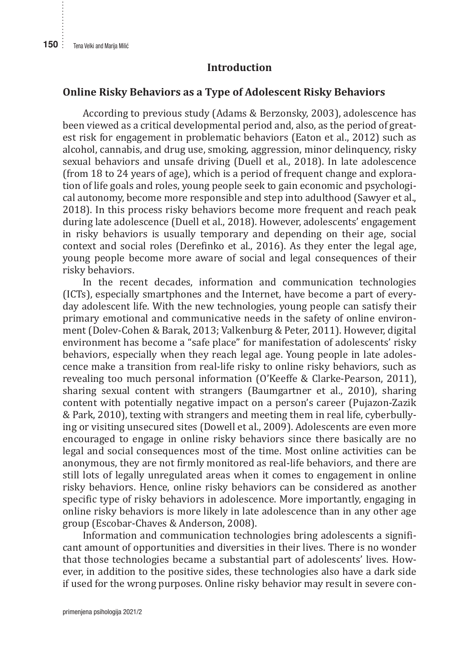#### **Introduction**

#### **Online Risky Behaviors as a Type of Adolescent Risky Behaviors**

According to previous study (Adams & Berzonsky, 2003), adolescence has been viewed as a critical developmental period and, also, as the period of greatest risk for engagement in problematic behaviors (Eaton et al., 2012) such as alcohol, cannabis, and drug use, smoking, aggression, minor delinquency, risky sexual behaviors and unsafe driving (Duell et al., 2018). In late adolescence (from 18 to 24 years of age), which is a period of frequent change and exploration of life goals and roles, young people seek to gain economic and psychological autonomy, become more responsible and step into adulthood (Sawyer et al., 2018). In this process risky behaviors become more frequent and reach peak during late adolescence (Duell et al., 2018). However, adolescents' engagement in risky behaviors is usually temporary and depending on their age, social context and social roles (Derefinko et al., 2016). As they enter the legal age, young people become more aware of social and legal consequences of their risky behaviors.

In the recent decades, information and communication technologies (ICTs), especially smartphones and the Internet, have become a part of everyday adolescent life. With the new technologies, young people can satisfy their primary emotional and communicative needs in the safety of online environment (Dolev-Cohen & Barak, 2013; Valkenburg & Peter, 2011). However, digital environment has become a "safe place" for manifestation of adolescents' risky behaviors, especially when they reach legal age. Young people in late adolescence make a transition from real-life risky to online risky behaviors, such as revealing too much personal information (O'Keeffe & Clarke-Pearson, 2011), sharing sexual content with strangers (Baumgartner et al., 2010), sharing content with potentially negative impact on a person's career (Pujazon-Zazik & Park, 2010), texting with strangers and meeting them in real life, cyberbullying or visiting unsecured sites (Dowell et al., 2009). Adolescents are even more encouraged to engage in online risky behaviors since there basically are no legal and social consequences most of the time. Most online activities can be anonymous, they are not firmly monitored as real-life behaviors, and there are still lots of legally unregulated areas when it comes to engagement in online risky behaviors. Hence, online risky behaviors can be considered as another specific type of risky behaviors in adolescence. More importantly, engaging in online risky behaviors is more likely in late adolescence than in any other age group (Escobar-Chaves & Anderson, 2008).

Information and communication technologies bring adolescents a significant amount of opportunities and diversities in their lives. There is no wonder that those technologies became a substantial part of adolescents' lives. However, in addition to the positive sides, these technologies also have a dark side if used for the wrong purposes. Online risky behavior may result in severe con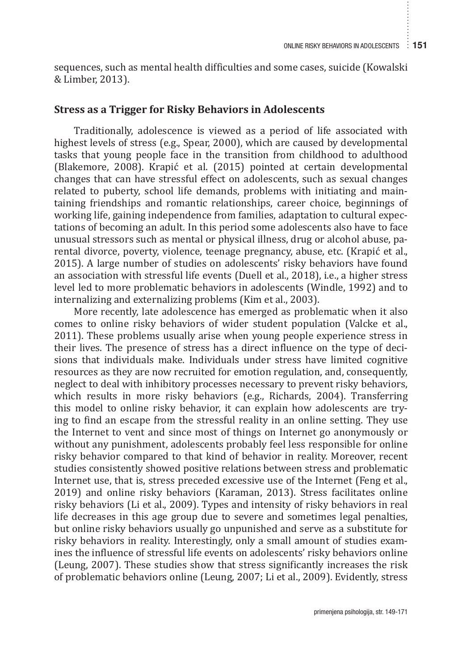sequences, such as mental health difficulties and some cases, suicide (Kowalski & Limber, 2013).

#### **Stress as a Trigger for Risky Behaviors in Adolescents**

Traditionally, adolescence is viewed as a period of life associated with highest levels of stress (e.g., Spear, 2000), which are caused by developmental tasks that young people face in the transition from childhood to adulthood (Blakemore, 2008). Krapić et al. (2015) pointed at certain developmental changes that can have stressful effect on adolescents, such as sexual changes related to puberty, school life demands, problems with initiating and maintaining friendships and romantic relationships, career choice, beginnings of working life, gaining independence from families, adaptation to cultural expectations of becoming an adult. In this period some adolescents also have to face unusual stressors such as mental or physical illness, drug or alcohol abuse, parental divorce, poverty, violence, teenage pregnancy, abuse, etc. (Krapić et al., 2015). A large number of studies on adolescents' risky behaviors have found an association with stressful life events (Duell et al., 2018), i.e., a higher stress level led to more problematic behaviors in adolescents (Windle, 1992) and to internalizing and externalizing problems (Kim et al., 2003).

More recently, late adolescence has emerged as problematic when it also comes to online risky behaviors of wider student population (Valcke et al., 2011). These problems usually arise when young people experience stress in their lives. The presence of stress has a direct influence on the type of decisions that individuals make. Individuals under stress have limited cognitive resources as they are now recruited for emotion regulation, and, consequently, neglect to deal with inhibitory processes necessary to prevent risky behaviors, which results in more risky behaviors (e.g., Richards, 2004). Transferring this model to online risky behavior, it can explain how adolescents are trying to find an escape from the stressful reality in an online setting. They use the Internet to vent and since most of things on Internet go anonymously or without any punishment, adolescents probably feel less responsible for online risky behavior compared to that kind of behavior in reality. Moreover, recent studies consistently showed positive relations between stress and problematic Internet use, that is, stress preceded excessive use of the Internet (Feng et al., 2019) and online risky behaviors (Karaman, 2013). Stress facilitates online risky behaviors (Li et al., 2009). Types and intensity of risky behaviors in real life decreases in this age group due to severe and sometimes legal penalties, but online risky behaviors usually go unpunished and serve as a substitute for risky behaviors in reality. Interestingly, only a small amount of studies examines the influence of stressful life events on adolescents' risky behaviors online (Leung, 2007). These studies show that stress significantly increases the risk of problematic behaviors online (Leung, 2007; Li et al., 2009). Evidently, stress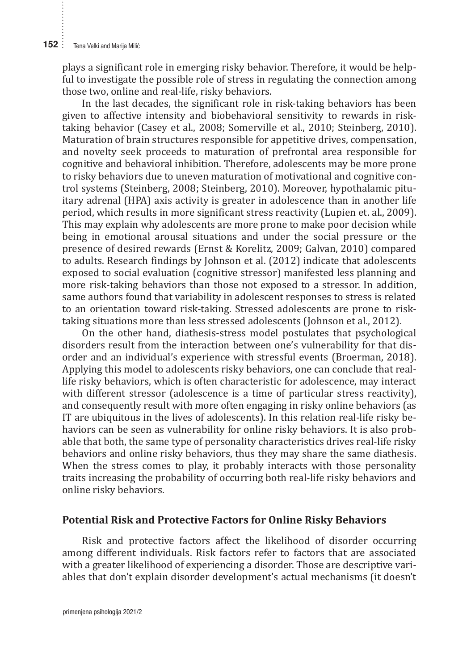plays a significant role in emerging risky behavior. Therefore, it would be helpful to investigate the possible role of stress in regulating the connection among those two, online and real-life, risky behaviors.

In the last decades, the significant role in risk-taking behaviors has been given to affective intensity and biobehavioral sensitivity to rewards in risktaking behavior (Casey et al., 2008; Somerville et al., 2010; Steinberg, 2010). Maturation of brain structures responsible for appetitive drives, compensation, and novelty seek proceeds to maturation of prefrontal area responsible for cognitive and behavioral inhibition. Therefore, adolescents may be more prone to risky behaviors due to uneven maturation of motivational and cognitive control systems (Steinberg, 2008; Steinberg, 2010). Moreover, hypothalamic pituitary adrenal (HPA) axis activity is greater in adolescence than in another life period, which results in more significant stress reactivity (Lupien et. al., 2009). This may explain why adolescents are more prone to make poor decision while being in emotional arousal situations and under the social pressure or the presence of desired rewards (Ernst & Korelitz, 2009; Galvan, 2010) compared to adults. Research findings by Johnson et al. (2012) indicate that adolescents exposed to social evaluation (cognitive stressor) manifested less planning and more risk-taking behaviors than those not exposed to a stressor. In addition, same authors found that variability in adolescent responses to stress is related to an orientation toward risk-taking. Stressed adolescents are prone to risktaking situations more than less stressed adolescents (Johnson et al., 2012).

On the other hand, diathesis-stress model postulates that psychological disorders result from the interaction between one's vulnerability for that disorder and an individual's experience with stressful events (Broerman, 2018). Applying this model to adolescents risky behaviors, one can conclude that reallife risky behaviors, which is often characteristic for adolescence, may interact with different stressor (adolescence is a time of particular stress reactivity), and consequently result with more often engaging in risky online behaviors (as IT are ubiquitous in the lives of adolescents). In this relation real-life risky behaviors can be seen as vulnerability for online risky behaviors. It is also probable that both, the same type of personality characteristics drives real-life risky behaviors and online risky behaviors, thus they may share the same diathesis. When the stress comes to play, it probably interacts with those personality traits increasing the probability of occurring both real-life risky behaviors and online risky behaviors.

#### **Potential Risk and Protective Factors for Online Risky Behaviors**

Risk and protective factors affect the likelihood of disorder occurring among different individuals. Risk factors refer to factors that are associated with a greater likelihood of experiencing a disorder. Those are descriptive variables that don't explain disorder development's actual mechanisms (it doesn't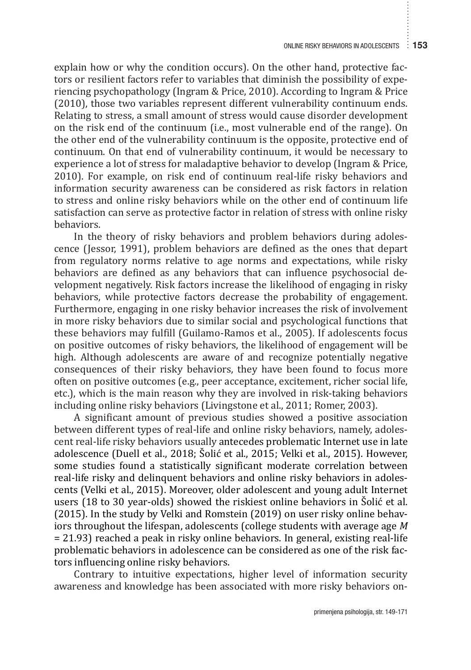explain how or why the condition occurs). On the other hand, protective factors or resilient factors refer to variables that diminish the possibility of experiencing psychopathology (Ingram & Price, 2010). According to Ingram & Price (2010), those two variables represent different vulnerability continuum ends. Relating to stress, a small amount of stress would cause disorder development on the risk end of the continuum (i.e., most vulnerable end of the range). On the other end of the vulnerability continuum is the opposite, protective end of continuum. On that end of vulnerability continuum, it would be necessary to experience a lot of stress for maladaptive behavior to develop (Ingram & Price, 2010). For example, on risk end of continuum real-life risky behaviors and information security awareness can be considered as risk factors in relation to stress and online risky behaviors while on the other end of continuum life satisfaction can serve as protective factor in relation of stress with online risky behaviors.

In the theory of risky behaviors and problem behaviors during adolescence (Jessor, 1991), problem behaviors are defined as the ones that depart from regulatory norms relative to age norms and expectations, while risky behaviors are defined as any behaviors that can influence psychosocial development negatively. Risk factors increase the likelihood of engaging in risky behaviors, while protective factors decrease the probability of engagement. Furthermore, engaging in one risky behavior increases the risk of involvement in more risky behaviors due to similar social and psychological functions that these behaviors may fulfill (Guilamo-Ramos et al., 2005). If adolescents focus on positive outcomes of risky behaviors, the likelihood of engagement will be high. Although adolescents are aware of and recognize potentially negative consequences of their risky behaviors, they have been found to focus more often on positive outcomes (e.g., peer acceptance, excitement, richer social life, etc.), which is the main reason why they are involved in risk-taking behaviors including online risky behaviors (Livingstone et al., 2011; Romer, 2003).

A significant amount of previous studies showed a positive association between different types of real-life and online risky behaviors, namely, adolescent real-life risky behaviors usually antecedes problematic Internet use in late adolescence (Duell et al., 2018; Šolić et al., 2015; Velki et al., 2015). However, some studies found a statistically significant moderate correlation between real-life risky and delinquent behaviors and online risky behaviors in adolescents (Velki et al., 2015). Moreover, older adolescent and young adult Internet users (18 to 30 year-olds) showed the riskiest online behaviors in Šolić et al. (2015). In the study by Velki and Romstein (2019) on user risky online behaviors throughout the lifespan, adolescents (college students with average age *M*  = 21.93) reached a peak in risky online behaviors. In general, existing real-life problematic behaviors in adolescence can be considered as one of the risk factors influencing online risky behaviors.

Contrary to intuitive expectations, higher level of information security awareness and knowledge has been associated with more risky behaviors on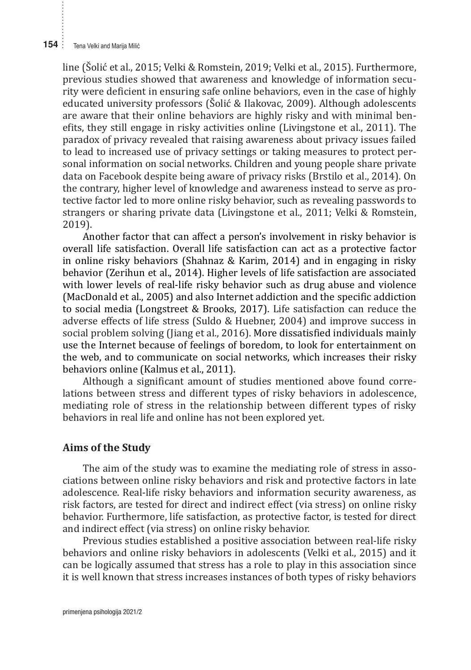line (Šolić et al., 2015; Velki & Romstein, 2019; Velki et al., 2015). Furthermore, previous studies showed that awareness and knowledge of information security were deficient in ensuring safe online behaviors, even in the case of highly educated university professors (Šolić & Ilakovac, 2009). Although adolescents are aware that their online behaviors are highly risky and with minimal benefits, they still engage in risky activities online (Livingstone et al., 2011). The paradox of privacy revealed that raising awareness about privacy issues failed to lead to increased use of privacy settings or taking measures to protect personal information on social networks. Children and young people share private data on Facebook despite being aware of privacy risks (Brstilo et al., 2014). On the contrary, higher level of knowledge and awareness instead to serve as protective factor led to more online risky behavior, such as revealing passwords to strangers or sharing private data (Livingstone et al., 2011; Velki & Romstein, 2019).

Another factor that can affect a person's involvement in risky behavior is overall life satisfaction. Overall life satisfaction can act as a protective factor in online risky behaviors (Shahnaz & Karim, 2014) and in engaging in risky behavior (Zerihun et al., 2014). Higher levels of life satisfaction are associated with lower levels of real-life risky behavior such as drug abuse and violence (MacDonald et al., 2005) and also Internet addiction and the specific addiction to social media (Longstreet & Brooks, 2017). Life satisfaction can reduce the adverse effects of life stress (Suldo & Huebner, 2004) and improve success in social problem solving (Jiang et al., 2016). More dissatisfied individuals mainly use the Internet because of feelings of boredom, to look for entertainment on the web, and to communicate on social networks, which increases their risky behaviors online (Kalmus et al., 2011).

Although a significant amount of studies mentioned above found correlations between stress and different types of risky behaviors in adolescence, mediating role of stress in the relationship between different types of risky behaviors in real life and online has not been explored yet.

#### **Aims of the Study**

The aim of the study was to examine the mediating role of stress in associations between online risky behaviors and risk and protective factors in late adolescence. Real-life risky behaviors and information security awareness, as risk factors, are tested for direct and indirect effect (via stress) on online risky behavior. Furthermore, life satisfaction, as protective factor, is tested for direct and indirect effect (via stress) on online risky behavior.

Previous studies established a positive association between real-life risky behaviors and online risky behaviors in adolescents (Velki et al., 2015) and it can be logically assumed that stress has a role to play in this association since it is well known that stress increases instances of both types of risky behaviors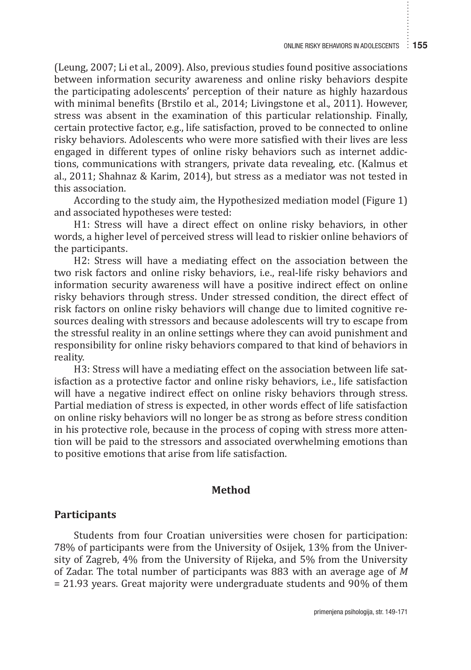(Leung, 2007; Li et al., 2009). Also, previous studies found positive associations between information security awareness and online risky behaviors despite the participating adolescents' perception of their nature as highly hazardous with minimal benefits (Brstilo et al., 2014; Livingstone et al., 2011). However, stress was absent in the examination of this particular relationship. Finally, certain protective factor, e.g., life satisfaction, proved to be connected to online risky behaviors. Adolescents who were more satisfied with their lives are less engaged in different types of online risky behaviors such as internet addictions, communications with strangers, private data revealing, etc. (Kalmus et al., 2011; Shahnaz & Karim, 2014), but stress as a mediator was not tested in this association.

According to the study aim, the Hypothesized mediation model (Figure 1) and associated hypotheses were tested:

H1: Stress will have a direct effect on online risky behaviors, in other words, a higher level of perceived stress will lead to riskier online behaviors of the participants.

H2: Stress will have a mediating effect on the association between the two risk factors and online risky behaviors, i.e., real-life risky behaviors and information security awareness will have a positive indirect effect on online risky behaviors through stress. Under stressed condition, the direct effect of risk factors on online risky behaviors will change due to limited cognitive resources dealing with stressors and because adolescents will try to escape from the stressful reality in an online settings where they can avoid punishment and responsibility for online risky behaviors compared to that kind of behaviors in reality.

H3: Stress will have a mediating effect on the association between life satisfaction as a protective factor and online risky behaviors, i.e., life satisfaction will have a negative indirect effect on online risky behaviors through stress. Partial mediation of stress is expected, in other words effect of life satisfaction on online risky behaviors will no longer be as strong as before stress condition in his protective role, because in the process of coping with stress more attention will be paid to the stressors and associated overwhelming emotions than to positive emotions that arise from life satisfaction.

#### **Method**

#### **Participants**

Students from four Croatian universities were chosen for participation: 78% of participants were from the University of Osijek, 13% from the University of Zagreb, 4% from the University of Rijeka, and 5% from the University of Zadar. The total number of participants was 883 with an average age of *M*  = 21.93 years. Great majority were undergraduate students and 90% of them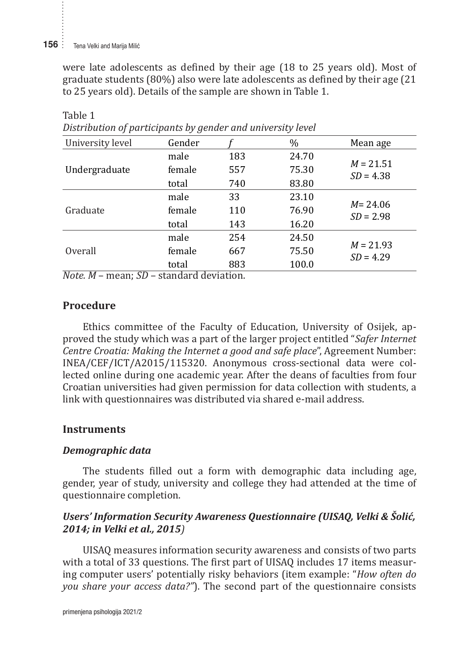were late adolescents as defined by their age (18 to 25 years old). Most of graduate students (80%) also were late adolescents as defined by their age (21 to 25 years old). Details of the sample are shown in Table 1.

| Distribution of purticipants by genuer and aniversity level |                          |       |                            |  |
|-------------------------------------------------------------|--------------------------|-------|----------------------------|--|
| Gender                                                      |                          | $\%$  | Mean age                   |  |
| male                                                        | 183                      | 24.70 |                            |  |
| female                                                      | 557                      | 75.30 | $M = 21.51$<br>$SD = 4.38$ |  |
| total                                                       | 740                      | 83.80 |                            |  |
| male                                                        | 33                       | 23.10 |                            |  |
| female                                                      | 110                      | 76.90 | $M = 24.06$<br>$SD = 2.98$ |  |
| total                                                       | 143                      | 16.20 |                            |  |
| male                                                        | 254                      | 24.50 |                            |  |
| female                                                      | 667                      | 75.50 | $M = 21.93$<br>$SD = 4.29$ |  |
| total                                                       | 883                      | 100.0 |                            |  |
|                                                             | $\overline{\phantom{a}}$ |       |                            |  |

Table 1 *Distribution of participants by gender and university level*

*Note. M* – mean; *SD* – standard deviation.

## **Procedure**

Ethics committee of the Faculty of Education, University of Osijek, approved the study which was a part of the larger project entitled "*Safer Internet Centre Croatia: Making the Internet a good and safe place*", Agreement Number: INEA/CEF/ICT/A2015/115320. Anonymous cross-sectional data were collected online during one academic year. After the deans of faculties from four Croatian universities had given permission for data collection with students, a link with questionnaires was distributed via shared e-mail address.

## **Instruments**

## *Demographic data*

The students filled out a form with demographic data including age, gender, year of study, university and college they had attended at the time of questionnaire completion.

## *Users' Information Security Awareness Questionnaire (UISAQ, Velki & Šolić, 2014; in Velki et al., 2015)*

UISAQ measures information security awareness and consists of two parts with a total of 33 questions. The first part of UISAQ includes 17 items measuring computer users' potentially risky behaviors (item example: "*How often do you share your access data?"*). The second part of the questionnaire consists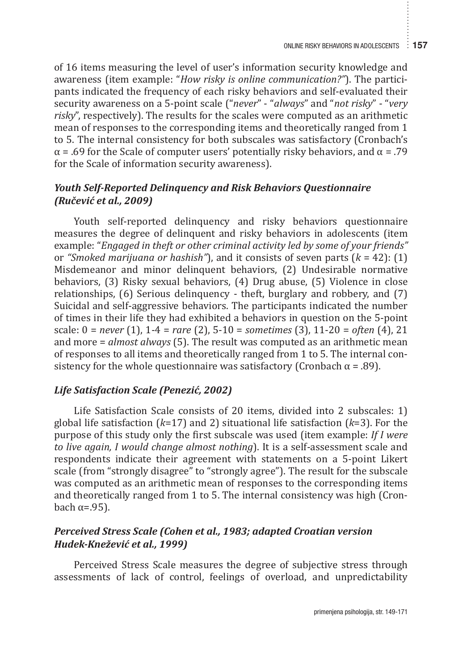of 16 items measuring the level of user's information security knowledge and awareness (item example: "*How risky is online communication?"*). The participants indicated the frequency of each risky behaviors and self-evaluated their security awareness on a 5-point scale ("*never*" - "*always*" and "*not risky*" - "*very risky*", respectively). The results for the scales were computed as an arithmetic mean of responses to the corresponding items and theoretically ranged from 1 to 5. The internal consistency for both subscales was satisfactory (Cronbach's  $\alpha$  = .69 for the Scale of computer users' potentially risky behaviors, and  $\alpha$  = .79 for the Scale of information security awareness).

## *Youth Self-Reported Delinquency and Risk Behaviors Questionnaire (Ručević et al., 2009)*

Youth self-reported delinquency and risky behaviors questionnaire measures the degree of delinquent and risky behaviors in adolescents (item example: "*Engaged in theft or other criminal activity led by some of your friends"*  or *"Smoked marijuana or hashish"*), and it consists of seven parts (*k* = 42): (1) Misdemeanor and minor delinquent behaviors, (2) Undesirable normative behaviors, (3) Risky sexual behaviors, (4) Drug abuse, (5) Violence in close relationships, (6) Serious delinquency - theft, burglary and robbery, and (7) Suicidal and self-aggressive behaviors. The participants indicated the number of times in their life they had exhibited a behaviors in question on the 5-point scale: 0 = *never* (1), 1-4 = *rare* (2), 5-10 = *sometimes* (3), 11-20 = *often* (4), 21 and more = *almost always* (5). The result was computed as an arithmetic mean of responses to all items and theoretically ranged from 1 to 5. The internal consistency for the whole questionnaire was satisfactory (Cronbach  $\alpha$  = .89).

## *Life Satisfaction Scale (Penezić, 2002)*

Life Satisfaction Scale consists of 20 items, divided into 2 subscales: 1) global life satisfaction (*k*=17) and 2) situational life satisfaction (*k*=3). For the purpose of this study only the first subscale was used (item example: *If I were to live again, I would change almost nothing*). It is a self-assessment scale and respondents indicate their agreement with statements on a 5-point Likert scale (from "strongly disagree" to "strongly agree"). The result for the subscale was computed as an arithmetic mean of responses to the corresponding items and theoretically ranged from 1 to 5. The internal consistency was high (Cronbach  $α=0.95$ ).

## *Perceived Stress Scale (Cohen et al., 1983; adapted Croatian version Hudek-Knežević et al., 1999)*

Perceived Stress Scale measures the degree of subjective stress through assessments of lack of control, feelings of overload, and unpredictability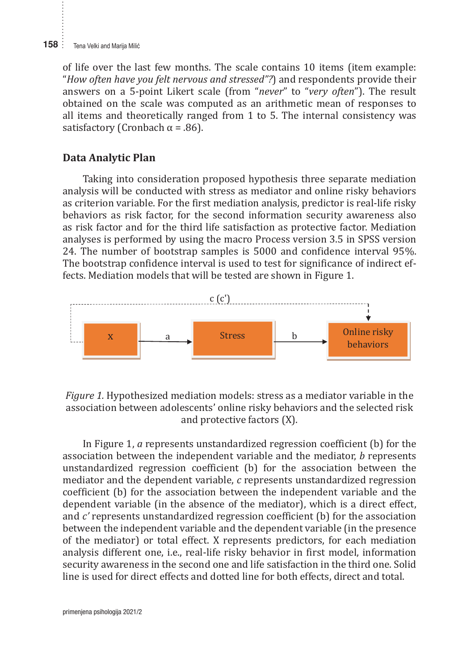of life over the last few months. The scale contains 10 items (item example: "*How often have you felt nervous and stressed"?*) and respondents provide their answers on a 5-point Likert scale (from "*never*" to "*very often*"). The result obtained on the scale was computed as an arithmetic mean of responses to all items and theoretically ranged from 1 to 5. The internal consistency was satisfactory (Cronbach  $\alpha$  = .86).

#### **Data Analytic Plan**

Taking into consideration proposed hypothesis three separate mediation analysis will be conducted with stress as mediator and online risky behaviors as criterion variable. For the first mediation analysis, predictor is real-life risky behaviors as risk factor, for the second information security awareness also as risk factor and for the third life satisfaction as protective factor. Mediation analyses is performed by using the macro Process version 3.5 in SPSS version 24. The number of bootstrap samples is 5000 and confidence interval 95%. The bootstrap confidence interval is used to test for significance of indirect effects. Mediation models that will be tested are shown in Figure 1. I'ME DOUSH ap COMMENCE MICH VALUS USED TO TEST



Figure 1. Hypothesized mediation models: stress as a mediator variable in the association between adolescents' online risky behaviors and the selected risk and protective factors (X).

association between the independent variable and the mediator, *b* represents unstandardized regression coefficient (b) for the association between the coefficient (b) for the association between the independent variable and the dependent variable (in the absence of the mediator), which is a direct effect, between the independent variable and the dependent variable (in the presence of the mediator) or total effect. X represents predictors, for each mediation equality and the the matter of the film of the independent of the independent security awareness in the second one and life satisfaction in the third one. Solid line is used for direct effects and dotted line for both effects, direct and total. In Figure 1, *a* represents unstandardized regression coefficient (b) for the mediator and the dependent variable, *c* represents unstandardized regression and *c'* represents unstandardized regression coefficient (b) for the association analysis different one, i.e., real-life risky behavior in first model, information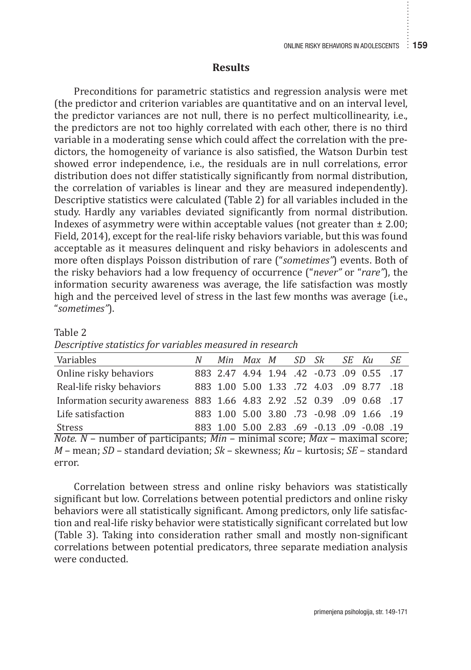#### **Results**

Preconditions for parametric statistics and regression analysis were met (the predictor and criterion variables are quantitative and on an interval level, the predictor variances are not null, there is no perfect multicollinearity, i.e., the predictors are not too highly correlated with each other, there is no third variable in a moderating sense which could affect the correlation with the predictors, the homogeneity of variance is also satisfied, the Watson Durbin test showed error independence, i.e., the residuals are in null correlations, error distribution does not differ statistically significantly from normal distribution, the correlation of variables is linear and they are measured independently). Descriptive statistics were calculated (Table 2) for all variables included in the study. Hardly any variables deviated significantly from normal distribution. Indexes of asymmetry were within acceptable values (not greater than  $\pm 2.00$ ; Field, 2014), except for the real-life risky behaviors variable, but this was found acceptable as it measures delinquent and risky behaviors in adolescents and more often displays Poisson distribution of rare ("*sometimes"*) events. Both of the risky behaviors had a low frequency of occurrence ("*never"* or "*rare"*), the information security awareness was average, the life satisfaction was mostly high and the perceived level of stress in the last few months was average (i.e., "*sometimes"*).

| Variables                                                                                | N |  |  |  | Min Max M SD Sk SE Ku |                                            | SЕ |
|------------------------------------------------------------------------------------------|---|--|--|--|-----------------------|--------------------------------------------|----|
| Online risky behaviors                                                                   |   |  |  |  |                       | 883 2.47 4.94 1.94 .42 -0.73 .09 0.55 .17  |    |
| Real-life risky behaviors                                                                |   |  |  |  |                       | 883 1.00 5.00 1.33 .72 4.03 .09 8.77 .18   |    |
| 17. 0.68 0.68 0.69 0.68 1.66 4.83 2.92 1.52 0.39 0.68 1.57                               |   |  |  |  |                       |                                            |    |
| Life satisfaction                                                                        |   |  |  |  |                       | 883 1.00 5.00 3.80 .73 -0.98 .09 1.66 .19  |    |
| Stress                                                                                   |   |  |  |  |                       | 883 1.00 5.00 2.83 .69 -0.13 .09 -0.08 .19 |    |
| <i>Note.</i> $N$ – number of participants; $Min$ – minimal score; $Max$ – maximal score; |   |  |  |  |                       |                                            |    |
| $M$ – mean: $SD$ – standard deviation: $Sk$ – skewness: $KU$ – kurtosis: $SF$ – standard |   |  |  |  |                       |                                            |    |

*Descriptive statistics for variables measured in research*

Table 2

*M* – mean; *SD* – standard deviation; *Sk* – skewness; *Ku* – kurtosis; *SE* – standard error.

Correlation between stress and online risky behaviors was statistically significant but low. Correlations between potential predictors and online risky behaviors were all statistically significant. Among predictors, only life satisfaction and real-life risky behavior were statistically significant correlated but low (Table 3). Taking into consideration rather small and mostly non-significant correlations between potential predicators, three separate mediation analysis were conducted.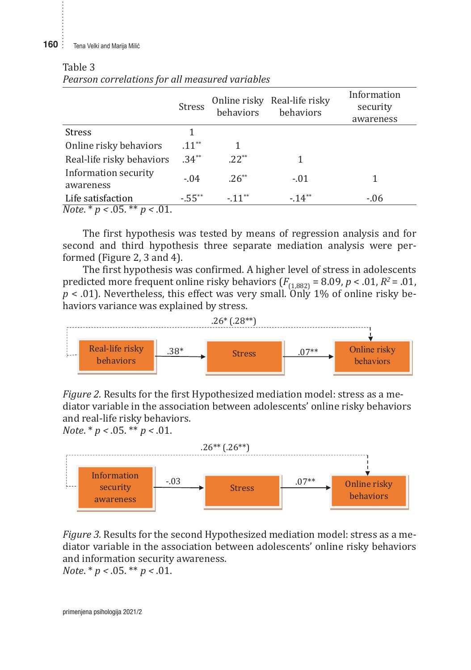#### **160** : Tena Velki and Marija Milić

Table 3

|                                          | <b>Stress</b>       | behaviors | Online risky Real-life risky<br>behaviors | Information<br>security<br>awareness |
|------------------------------------------|---------------------|-----------|-------------------------------------------|--------------------------------------|
| <b>Stress</b>                            |                     |           |                                           |                                      |
| Online risky behaviors                   | $.11***$            |           |                                           |                                      |
| Real-life risky behaviors                | $.34***$            | $.22***$  |                                           |                                      |
| Information security<br>awareness        | $-.04$              | $.26**$   | $-.01$                                    |                                      |
| Life satisfaction                        | $-55$ <sup>**</sup> | $-11***$  | $-14**$                                   | $-0.06$                              |
| <i>Note</i> $* p < .05$ , $** p < .01$ . |                     |           |                                           |                                      |

## Table 3 *Pearson correlations for all measured variables* Stress 1

*Pearson correlations for all measured variables*

*Note*. \* *p <* .05. \*\* *p <* .01.

The first hypothesis was tested by means of regression analysis and for second and third hypothesis was conced by means or regression analysis and tor-<br>second and third hypothesis three separate mediation analysis were performed (Figure 2, 3 and 4).

The first hypothesis was confirmed. A higher level of stress in adolescents  $\mathbf \Gamma$ predicted more frequent online risky behaviors  $(F_{(1,882)} = 8.09, p < .01, R^2 = .01,$  $p < .01$ ). Nevertheless, this effect was very small. Only 1% of online risky behaviors variance was explained by stress.



*Figure 2.* Results for the first Hypothesized mediation model: stress as a mediator variable diator variable in the association between adolescents' online risky behaviors. and real-life risky behaviors. *Figure 2.* Results for the first Hypothesized mediation model: stress as a me-

*Note*. \* *p <* .05. \*\* *p <* .01.



Figure 3. Results for the second Hypothesized mediation model: stress as a mediator variable in the association between adolescents' online risky behaviors  $Note. * p < .05. ** p < .01.$ and information security awareness.

*Note*. \* *p <* .05. \*\* *p <* .01.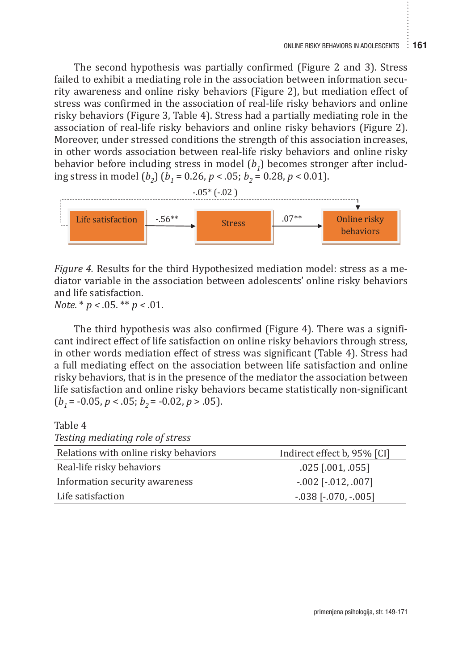The second hypothesis was partially confirmed (Figure 2 and 3). Stress  $\mathbb{R}^n$ railed to exhibit a mediating role in the association between information security awareness and online risky behaviors (Figure 2), but mediation effect of stress was confirmed in the association of real-life risky behaviors and online risky behaviors (Figure 3, Table 4). Stress had a partially mediating role in the strength of the strength of the strength of the strength of the strength of the strength of the strength of the strength of the strength of association of real-life risky behaviors and online risky behaviors (Figure 2). Moreover, under stressed conditions the strength of this association increases, in other words association between real-life risky behaviors and online risky in behavior before including stress in model (*b<sub>1</sub>*) becomes stronger after including stress in model  $(b_2)$   $(b_1 = 0.26, p < .05; b_2 = 0.28, p < 0.01)$ .



*Figure 4.* Results for the third Hypothesized mediation model: stress as a mediator variable in the association between adolescents' online risky behaviors diator variable in the association between adolescents' online risky behaviors and life satisfaction. *Figure 4.* Results for the third Hypothesized mediation model: stress as a me-

*Note*. \* *p <* .05. \*\* *p <* .01.

The third hypothesis was also confirmed (Figure 4). There was a significant indirect effect of life satisfaction on online risky behaviors through stress, in other words mediation effect of stress was significant (Table 4). Stress had a full mediating effect on the association between life satisfaction and online risky behaviors, that is in the presence of the mediator the association between life satisfaction and online risky behaviors became statistically non-significant  $(b<sub>1</sub> = -0.05, p < .05; b<sub>2</sub> = -0.02, p > .05)$ .

Table 4

| Testing mediating role of stress      |                             |
|---------------------------------------|-----------------------------|
| Relations with online risky behaviors | Indirect effect b, 95% [CI] |
| Real-life risky behaviors             | $.025$ [.001, .055]         |
| Information security awareness        | $-002$ [ $-012, 007$ ]      |
| Life satisfaction                     | $-0.038$ $[-0.070, -0.005]$ |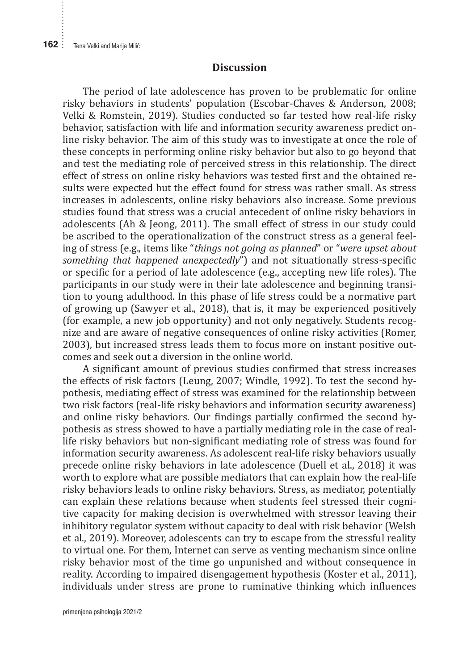#### **Discussion**

The period of late adolescence has proven to be problematic for online risky behaviors in students' population (Escobar-Chaves & Anderson, 2008; Velki & Romstein, 2019). Studies conducted so far tested how real-life risky behavior, satisfaction with life and information security awareness predict online risky behavior. The aim of this study was to investigate at once the role of these concepts in performing online risky behavior but also to go beyond that and test the mediating role of perceived stress in this relationship. The direct effect of stress on online risky behaviors was tested first and the obtained results were expected but the effect found for stress was rather small. As stress increases in adolescents, online risky behaviors also increase. Some previous studies found that stress was a crucial antecedent of online risky behaviors in adolescents (Ah & Jeong, 2011). The small effect of stress in our study could be ascribed to the operationalization of the construct stress as a general feeling of stress (e.g., items like "*things not going as planned*" or "*were upset about something that happened unexpectedly*") and not situationally stress-specific or specific for a period of late adolescence (e.g., accepting new life roles). The participants in our study were in their late adolescence and beginning transition to young adulthood. In this phase of life stress could be a normative part of growing up (Sawyer et al., 2018), that is, it may be experienced positively (for example, a new job opportunity) and not only negatively. Students recognize and are aware of negative consequences of online risky activities (Romer, 2003), but increased stress leads them to focus more on instant positive outcomes and seek out a diversion in the online world.

A significant amount of previous studies confirmed that stress increases the effects of risk factors (Leung, 2007; Windle, 1992). To test the second hypothesis, mediating effect of stress was examined for the relationship between two risk factors (real-life risky behaviors and information security awareness) and online risky behaviors. Our findings partially confirmed the second hypothesis as stress showed to have a partially mediating role in the case of reallife risky behaviors but non-significant mediating role of stress was found for information security awareness. As adolescent real-life risky behaviors usually precede online risky behaviors in late adolescence (Duell et al., 2018) it was worth to explore what are possible mediators that can explain how the real-life risky behaviors leads to online risky behaviors. Stress, as mediator, potentially can explain these relations because when students feel stressed their cognitive capacity for making decision is overwhelmed with stressor leaving their inhibitory regulator system without capacity to deal with risk behavior (Welsh et al., 2019). Moreover, adolescents can try to escape from the stressful reality to virtual one. For them, Internet can serve as venting mechanism since online risky behavior most of the time go unpunished and without consequence in reality. According to impaired disengagement hypothesis (Koster et al., 2011), individuals under stress are prone to ruminative thinking which influences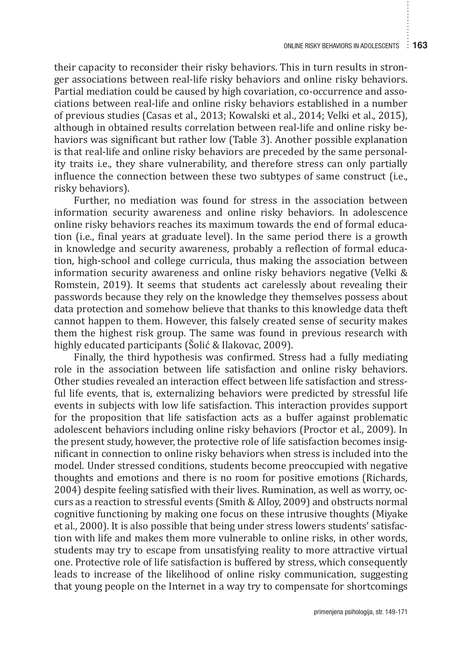their capacity to reconsider their risky behaviors. This in turn results in stronger associations between real-life risky behaviors and online risky behaviors. Partial mediation could be caused by high covariation, co-occurrence and associations between real-life and online risky behaviors established in a number of previous studies (Casas et al., 2013; Kowalski et al., 2014; Velki et al., 2015), although in obtained results correlation between real-life and online risky behaviors was significant but rather low (Table 3). Another possible explanation is that real-life and online risky behaviors are preceded by the same personality traits i.e., they share vulnerability, and therefore stress can only partially influence the connection between these two subtypes of same construct (i.e., risky behaviors).

Further, no mediation was found for stress in the association between information security awareness and online risky behaviors. In adolescence online risky behaviors reaches its maximum towards the end of formal education (i.e., final years at graduate level). In the same period there is a growth in knowledge and security awareness, probably a reflection of formal education, high-school and college curricula, thus making the association between information security awareness and online risky behaviors negative (Velki & Romstein, 2019). It seems that students act carelessly about revealing their passwords because they rely on the knowledge they themselves possess about data protection and somehow believe that thanks to this knowledge data theft cannot happen to them. However, this falsely created sense of security makes them the highest risk group. The same was found in previous research with highly educated participants (Šolić & Ilakovac, 2009).

Finally, the third hypothesis was confirmed. Stress had a fully mediating role in the association between life satisfaction and online risky behaviors. Other studies revealed an interaction effect between life satisfaction and stressful life events, that is, externalizing behaviors were predicted by stressful life events in subjects with low life satisfaction. This interaction provides support for the proposition that life satisfaction acts as a buffer against problematic adolescent behaviors including online risky behaviors (Proctor et al., 2009). In the present study, however, the protective role of life satisfaction becomes insignificant in connection to online risky behaviors when stress is included into the model. Under stressed conditions, students become preoccupied with negative thoughts and emotions and there is no room for positive emotions (Richards, 2004) despite feeling satisfied with their lives. Rumination, as well as worry, occurs as a reaction to stressful events (Smith & Alloy, 2009) and obstructs normal cognitive functioning by making one focus on these intrusive thoughts (Miyake et al., 2000). It is also possible that being under stress lowers students' satisfaction with life and makes them more vulnerable to online risks, in other words, students may try to escape from unsatisfying reality to more attractive virtual one. Protective role of life satisfaction is buffered by stress, which consequently leads to increase of the likelihood of online risky communication, suggesting that young people on the Internet in a way try to compensate for shortcomings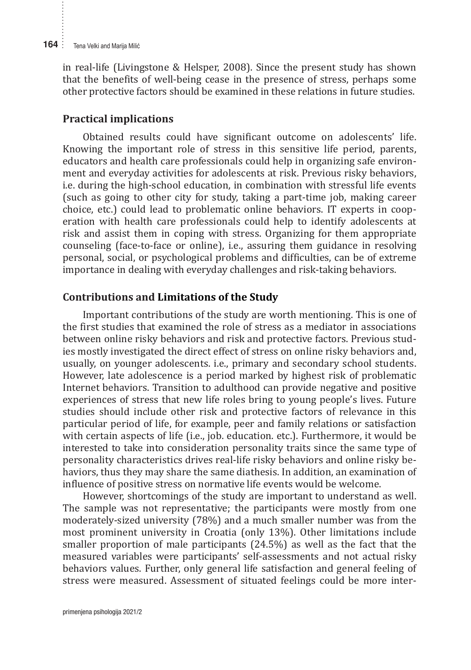in real-life (Livingstone & Helsper, 2008). Since the present study has shown that the benefits of well-being cease in the presence of stress, perhaps some other protective factors should be examined in these relations in future studies.

#### **Practical implications**

Obtained results could have significant outcome on adolescents' life. Knowing the important role of stress in this sensitive life period, parents, educators and health care professionals could help in organizing safe environment and everyday activities for adolescents at risk. Previous risky behaviors, i.e. during the high-school education, in combination with stressful life events (such as going to other city for study, taking a part-time job, making career choice, etc.) could lead to problematic online behaviors. IT experts in cooperation with health care professionals could help to identify adolescents at risk and assist them in coping with stress. Organizing for them appropriate counseling (face-to-face or online), i.e., assuring them guidance in resolving personal, social, or psychological problems and difficulties, can be of extreme importance in dealing with everyday challenges and risk-taking behaviors.

#### **Contributions and Limitations of the Study**

Important contributions of the study are worth mentioning. This is one of the first studies that examined the role of stress as a mediator in associations between online risky behaviors and risk and protective factors. Previous studies mostly investigated the direct effect of stress on online risky behaviors and, usually, on younger adolescents. i.e., primary and secondary school students. However, late adolescence is a period marked by highest risk of problematic Internet behaviors. Transition to adulthood can provide negative and positive experiences of stress that new life roles bring to young people's lives. Future studies should include other risk and protective factors of relevance in this particular period of life, for example, peer and family relations or satisfaction with certain aspects of life (i.e., job. education. etc.). Furthermore, it would be interested to take into consideration personality traits since the same type of personality characteristics drives real-life risky behaviors and online risky behaviors, thus they may share the same diathesis. In addition, an examination of influence of positive stress on normative life events would be welcome.

However, shortcomings of the study are important to understand as well. The sample was not representative; the participants were mostly from one moderately-sized university (78%) and a much smaller number was from the most prominent university in Croatia (only 13%). Other limitations include smaller proportion of male participants (24.5%) as well as the fact that the measured variables were participants' self-assessments and not actual risky behaviors values. Further, only general life satisfaction and general feeling of stress were measured. Assessment of situated feelings could be more inter-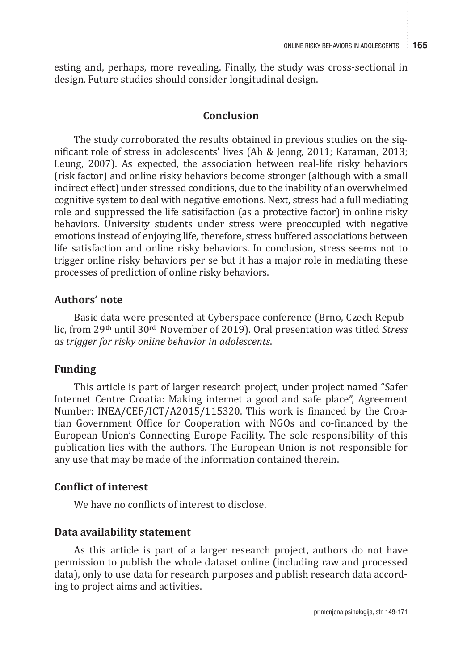esting and, perhaps, more revealing. Finally, the study was cross-sectional in design. Future studies should consider longitudinal design.

### **Conclusion**

The study corroborated the results obtained in previous studies on the significant role of stress in adolescents' lives (Ah & Jeong, 2011; Karaman, 2013; Leung, 2007). As expected, the association between real-life risky behaviors (risk factor) and online risky behaviors become stronger (although with a small indirect effect) under stressed conditions, due to the inability of an overwhelmed cognitive system to deal with negative emotions. Next, stress had a full mediating role and suppressed the life satisifaction (as a protective factor) in online risky behaviors. University students under stress were preoccupied with negative emotions instead of enjoying life, therefore, stress buffered associations between life satisfaction and online risky behaviors. In conclusion, stress seems not to trigger online risky behaviors per se but it has a major role in mediating these processes of prediction of online risky behaviors.

#### **Authors' note**

Basic data were presented at Cyberspace conference (Brno, Czech Republic, from 29th until 30rd November of 2019). Oral presentation was titled *Stress as trigger for risky online behavior in adolescents*.

## **Funding**

This article is part of larger research project, under project named "Safer Internet Centre Croatia: Making internet a good and safe place", Agreement Number: INEA/CEF/ICT/A2015/115320. This work is financed by the Croatian Government Office for Cooperation with NGOs and co-financed by the European Union's Connecting Europe Facility. The sole responsibility of this publication lies with the authors. The European Union is not responsible for any use that may be made of the information contained therein.

#### **Conflict of interest**

We have no conflicts of interest to disclose.

## **Data availability statement**

As this article is part of a larger research project, authors do not have permission to publish the whole dataset online (including raw and processed data), only to use data for research purposes and publish research data according to project aims and activities.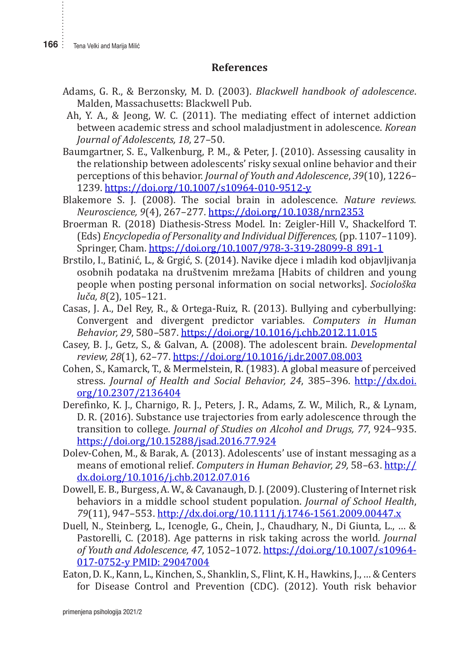#### **References**

- Adams, G. R., & Berzonsky, M. D. (2003). *Blackwell handbook of adolescence*. Malden, Massachusetts: Blackwell Pub.
- Ah, Y. A., & Jeong, W. C. (2011). The mediating effect of internet addiction between academic stress and school maladjustment in adolescence. *Korean Journal of Adolescents, 18*, 27–50.
- Baumgartner, S. E., Valkenburg, P. M., & Peter, J. (2010). Assessing causality in the relationship between adolescents' risky sexual online behavior and their perceptions of this behavior. *Journal of Youth and Adolescence*, *39*(10), 1226– 1239. https://doi.org/10.1007/s10964-010-9512-y
- Blakemore S. J. (2008). The social brain in adolescence. *Nature reviews. Neuroscience, 9*(4), 267–277. https://doi.org/10.1038/nrn2353
- Broerman R. (2018) Diathesis-Stress Model. In: Zeigler-Hill V., Shackelford T. (Eds) *Encyclopedia of Personality and Individual Differences,* (pp. 1107–1109). Springer, Cham. https://doi.org/10.1007/978-3-319-28099-8\_891-1
- Brstilo, I., Batinić, L., & Grgić, S. (2014). Navike djece i mladih kod objavljivanja osobnih podataka na društvenim mrežama [Habits of children and young people when posting personal information on social networks]. *Sociološka luča, 8*(2), 105–121.
- Casas, J. A., Del Rey, R., & Ortega-Ruiz, R. (2013). Bullying and cyberbullying: Convergent and divergent predictor variables. *Computers in Human Behavior, 29*, 580–587. https://doi.org/10.1016/j.chb.2012.11.015
- Casey, B. J., Getz, S., & Galvan, A. (2008). The adolescent brain. *Developmental review, 28*(1), 62–77. https://doi.org/10.1016/j.dr.2007.08.003
- Cohen, S., Kamarck, T., & Mermelstein, R. (1983). A global measure of perceived stress. *Journal of Health and Social Behavior, 24*, 385–396. http://dx.doi. org/10.2307/2136404
- Derefinko, K. J., Charnigo, R. J., Peters, J. R., Adams, Z. W., Milich, R., & Lynam, D. R. (2016). Substance use trajectories from early adolescence through the transition to college. *Journal of Studies on Alcohol and Drugs, 77*, 924–935. https://doi.org/10.15288/jsad.2016.77.924
- Dolev-Cohen, M., & Barak, A. (2013). Adolescents' use of instant messaging as a means of emotional relief. *Computers in Human Behavior, 29,* 58–63. http:// dx.doi.org/10.1016/j.chb.2012.07.016
- Dowell, E. B., Burgess, A. W., & Cavanaugh, D. J. (2009). Clustering of Internet risk behaviors in a middle school student population. *Journal of School Health*, *79*(11), 947–553. http://dx.doi.org/10.1111/j.1746-1561.2009.00447.x
- Duell, N., Steinberg, L., Icenogle, G., Chein, J., Chaudhary, N., Di Giunta, L., … & Pastorelli, C. (2018). Age patterns in risk taking across the world*. Journal of Youth and Adolescence, 47*, 1052–1072. https://doi.org/10.1007/s10964- 017-0752-y PMID: 29047004
- Eaton, D. K., Kann, L., Kinchen, S., Shanklin, S., Flint, K. H., Hawkins, J., … & Centers for Disease Control and Prevention (CDC). (2012). Youth risk behavior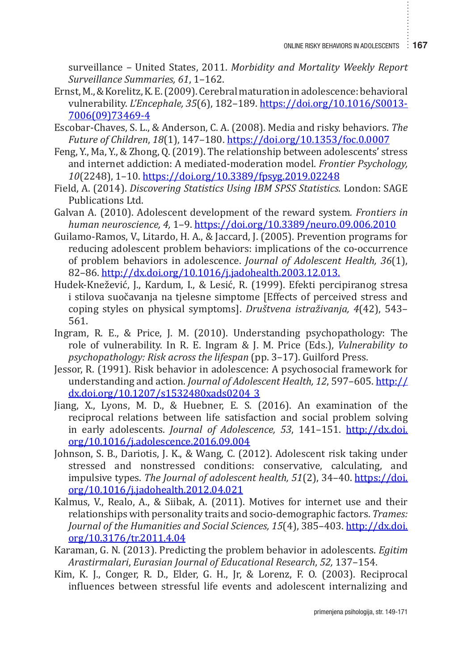surveillance – United States, 2011. *Morbidity and Mortality Weekly Report Surveillance Summaries, 61*, 1–162.

- Ernst, M., & Korelitz, K. E. (2009). Cerebral maturation in adolescence: behavioral vulnerability. *L'Encephale, 35*(6), 182–189. https://doi.org/10.1016/S0013- 7006(09)73469-4
- Escobar-Chaves, S. L., & Anderson, C. A. (2008). Media and risky behaviors. *The Future of Children*, *18*(1), 147–180. https://doi.org/10.1353/foc.0.0007
- Feng, Y., Ma, Y., & Zhong, Q. (2019). The relationship between adolescents' stress and internet addiction: A mediated-moderation model. *Frontier Psychology, 10*(2248), 1–10. https://doi.org/10.3389/fpsyg.2019.02248
- Field, A. (2014). *Discovering Statistics Using IBM SPSS Statistics*. London: SAGE Publications Ltd.
- Galvan A. (2010). Adolescent development of the reward system*. Frontiers in human neuroscience, 4,* 1–9. https://doi.org/10.3389/neuro.09.006.2010
- Guilamo-Ramos, V., Litardo, H. A., & Jaccard, J. (2005). Prevention programs for reducing adolescent problem behaviors: implications of the co-occurrence of problem behaviors in adolescence. *Journal of Adolescent Health, 36*(1), 82–86. http://dx.doi.org/10.1016/j.jadohealth.2003.12.013.
- Hudek-Knežević, J., Kardum, I., & Lesić, R. (1999). Efekti percipiranog stresa i stilova suočavanja na tjelesne simptome [Effects of perceived stress and coping styles on physical symptoms]. *Društvena istraživanja, 4*(42), 543– 561.
- Ingram, R. E., & Price, J. M. (2010). Understanding psychopathology: The role of vulnerability. In R. E. Ingram & J. M. Price (Eds.), *Vulnerability to psychopathology: Risk across the lifespan* (pp. 3–17). Guilford Press.
- Jessor, R. (1991). Risk behavior in adolescence: A psychosocial framework for understanding and action. *Journal of Adolescent Health, 12*, 597–605. http:// dx.doi.org/10.1207/s1532480xads0204\_3
- Jiang, X., Lyons, M. D., & Huebner, E. S. (2016). An examination of the reciprocal relations between life satisfaction and social problem solving in early adolescents. *Journal of Adolescence, 53*, 141–151. http://dx.doi. org/10.1016/j.adolescence.2016.09.004
- Johnson, S. B., Dariotis, J. K., & Wang, C. (2012). Adolescent risk taking under stressed and nonstressed conditions: conservative, calculating, and impulsive types. *The Journal of adolescent health, 51*(2), 34–40. https://doi. org/10.1016/j.jadohealth.2012.04.021
- Kalmus, V., Realo, A., & Siibak, A. (2011). Motives for internet use and their relationships with personality traits and socio-demographic factors. *Trames: Journal of the Humanities and Social Sciences, 15*(4), 385–403. http://dx.doi. org/10.3176/tr.2011.4.04
- Karaman, G. N. (2013). Predicting the problem behavior in adolescents. *Egitim Arastirmalari*, *Eurasian Journal of Educational Research*, *52,* 137–154.
- Kim, K. J., Conger, R. D., Elder, G. H., Jr, & Lorenz, F. O. (2003). Reciprocal influences between stressful life events and adolescent internalizing and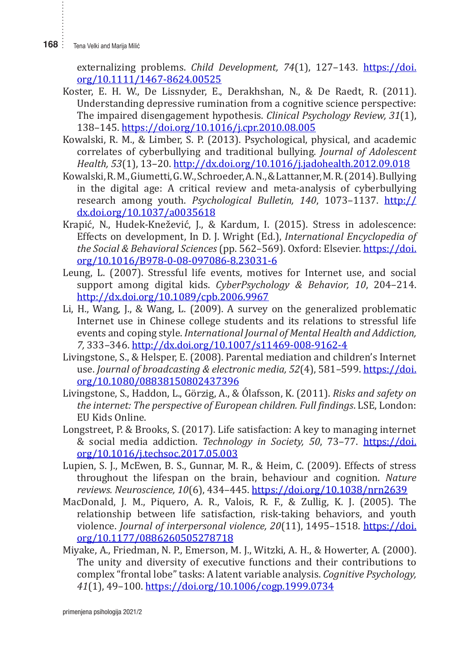**168** : Tena Velki and Marija Milić

externalizing problems. *Child Development, 74*(1), 127–143. https://doi. org/10.1111/1467-8624.00525

- Koster, E. H. W., De Lissnyder, E., Derakhshan, N., & De Raedt, R. (2011). Understanding depressive rumination from a cognitive science perspective: The impaired disengagement hypothesis. *Clinical Psychology Review, 31*(1), 138–145. https://doi.org/10.1016/j.cpr.2010.08.005
- Kowalski, R. M., & Limber, S. P. (2013). Psychological, physical, and academic correlates of cyberbullying and traditional bullying. *Journal of Adolescent Health, 53*(1), 13–20. http://dx.doi.org/10.1016/j.jadohealth.2012.09.018
- Kowalski, R.M., Giumetti, G.W., Schroeder, A.N., & Lattanner, M.R. (2014).Bullying in the digital age: A critical review and meta-analysis of cyberbullying research among youth. *Psychological Bulletin, 140*, 1073–1137. http:// dx.doi.org/10.1037/a0035618
- Krapić, N., Hudek-Knežević, J., & Kardum, I. (2015). Stress in adolescence: Effects on development, In D. J. Wright (Ed.), *International Encyclopedia of the Social & Behavioral Sciences* (pp. 562–569). Oxford: Elsevier. https://doi. org/10.1016/B978-0-08-097086-8.23031-6
- Leung, L. (2007). Stressful life events, motives for Internet use, and social support among digital kids. *CyberPsychology & Behavior, 10*, 204–214. http://dx.doi.org/10.1089/cpb.2006.9967
- Li, H., Wang, J., & Wang, L. (2009). A survey on the generalized problematic Internet use in Chinese college students and its relations to stressful life events and coping style. *International Journal of Mental Health and Addiction, 7,* 333–346. http://dx.doi.org/10.1007/s11469-008-9162-4
- Livingstone, S., & Helsper, E. (2008). Parental mediation and children's Internet use. *Journal of broadcasting & electronic media, 52*(4), 581–599. https://doi. org/10.1080/08838150802437396
- Livingstone, S., Haddon, L., Görzig, A., & Ólafsson, K. (2011). *Risks and safety on the internet: The perspective of European children. Full findings*. LSE, London: EU Kids Online.
- Longstreet, P. & Brooks, S. (2017). Life satisfaction: A key to managing internet & social media addiction. *Technology in Society, 50*, 73–77. https://doi. org/10.1016/j.techsoc.2017.05.003
- Lupien, S. J., McEwen, B. S., Gunnar, M. R., & Heim, C. (2009). Effects of stress throughout the lifespan on the brain, behaviour and cognition. *Nature reviews. Neuroscience, 10*(6), 434–445. https://doi.org/10.1038/nrn2639
- MacDonald, J. M., Piquero, A. R., Valois, R. F., & Zullig, K. J. (2005). The relationship between life satisfaction, risk-taking behaviors, and youth violence. *Journal of interpersonal violence, 20*(11), 1495–1518. https://doi. org/10.1177/0886260505278718
- Miyake, A., Friedman, N. P., Emerson, M. J., Witzki, A. H., & Howerter, A. (2000). The unity and diversity of executive functions and their contributions to complex "frontal lobe" tasks: A latent variable analysis. *Cognitive Psychology, 41*(1), 49–100. https://doi.org/10.1006/cogp.1999.0734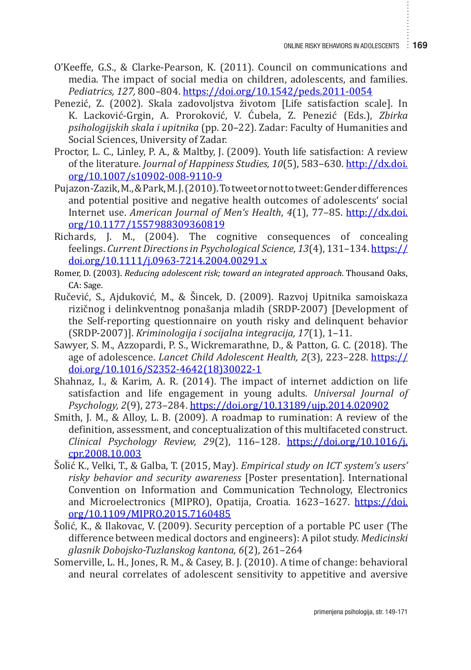- O'Keeffe, G.S., & Clarke-Pearson, K. (2011). Council on communications and media. The impact of social media on children, adolescents, and families. *Pediatrics, 127,* 800–804. https://doi.org/10.1542/peds.2011-0054
- Penezić, Z. (2002). Skala zadovoljstva životom [Life satisfaction scale]. In K. Lacković-Grgin, A. Proroković, V. Ćubela, Z. Penezić (Eds.), *Zbirka psihologijskih skala i upitnika* (pp. 20–22). Zadar: Faculty of Humanities and Social Sciences, University of Zadar.
- Proctor, L. C., Linley, P. A., & Maltby, J. (2009). Youth life satisfaction: A review of the literature. *Journal of Happiness Studies, 10*(5), 583–630. http://dx.doi. org/10.1007/s10902-008-9110-9
- Pujazon-Zazik, M., & Park, M. J. (2010). To tweet or not to tweet: Gender differences and potential positive and negative health outcomes of adolescents' social Internet use. *American Journal of Men's Health*, *4*(1), 77–85. http://dx.doi. org/10.1177/1557988309360819
- Richards, J. M., (2004). The cognitive consequences of concealing feelings. *Current Directions in Psychological Science, 13*(4), 131–134. https:// doi.org/10.1111/j.0963-7214.2004.00291.x
- Romer, D. (2003). *Reducing adolescent risk; toward an integrated approach*. Thousand Oaks, CA: Sage.
- Ručević, S., Ajduković, M., & Šincek, D. (2009). Razvoj Upitnika samoiskaza rizičnog i delinkventnog ponašanja mladih (SRDP-2007) [Development of the Self-reporting questionnaire on youth risky and delinquent behavior (SRDP-2007)]. *Kriminologija i socijalna integracija, 17*(1), 1–11.
- Sawyer, S. M., Azzopardi, P. S., Wickremarathne, D., & Patton, G. C. (2018). The age of adolescence. *Lancet Child Adolescent Health, 2*(3), 223–228. https:// doi.org/10.1016/S2352-4642(18)30022-1
- Shahnaz, I., & Karim, A. R. (2014). The impact of internet addiction on life satisfaction and life engagement in young adults. *Universal Journal of Psychology, 2*(9), 273–284. https://doi.org/10.13189/ujp.2014.020902
- Smith, J. M., & Alloy, L. B. (2009). A roadmap to rumination: A review of the definition, assessment, and conceptualization of this multifaceted construct. *Clinical Psychology Review, 29*(2), 116–128. https://doi.org/10.1016/j. cpr.2008.10.003
- Šolić K., Velki, T., & Galba, T. (2015, May). *Empirical study on ICT system's users' risky behavior and security awareness* [Poster presentation]. International Convention on Information and Communication Technology, Electronics and Microelectronics (MIPRO), Opatija, Croatia*.* 1623–1627. https://doi. org/10.1109/MIPRO.2015.7160485
- Šolić, K., & Ilakovac, V. (2009). Security perception of a portable PC user (The difference between medical doctors and engineers): A pilot study. *Medicinski glasnik Dobojsko-Tuzlanskog kantona, 6*(2), 261–264
- Somerville, L. H., Jones, R. M., & Casey, B. J. (2010). A time of change: behavioral and neural correlates of adolescent sensitivity to appetitive and aversive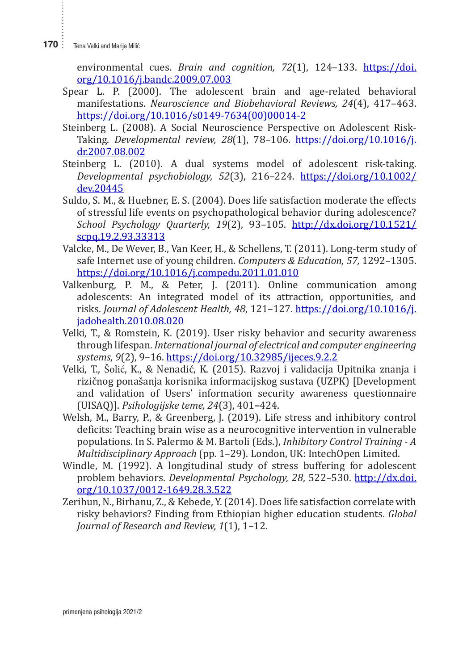**170** : Tena Velki and Marija Milić

environmental cues. *Brain and cognition, 72*(1), 124–133. https://doi. org/10.1016/j.bandc.2009.07.003

- Spear L. P. (2000). The adolescent brain and age-related behavioral manifestations. *Neuroscience and Biobehavioral Reviews, 24*(4), 417–463. https://doi.org/10.1016/s0149-7634(00)00014-2
- Steinberg L. (2008). A Social Neuroscience Perspective on Adolescent Risk-Taking. *Developmental review, 28*(1), 78–106. https://doi.org/10.1016/j. dr.2007.08.002
- Steinberg L. (2010). A dual systems model of adolescent risk-taking. *Developmental psychobiology, 52*(3), 216–224. https://doi.org/10.1002/ dev.20445
- Suldo, S. M., & Huebner, E. S. (2004). Does life satisfaction moderate the effects of stressful life events on psychopathological behavior during adolescence? *School Psychology Quarterly, 19*(2), 93–105. http://dx.doi.org/10.1521/ scpq.19.2.93.33313
- Valcke, M., De Wever, B., Van Keer, H., & Schellens, T. (2011). Long-term study of safe Internet use of young children. *Computers & Education, 57,* 1292–1305. https://doi.org/10.1016/j.compedu.2011.01.010
- Valkenburg, P. M., & Peter, J. (2011). Online communication among adolescents: An integrated model of its attraction, opportunities, and risks. *Journal of Adolescent Health, 48*, 121–127. https://doi.org/10.1016/j. jadohealth.2010.08.020
- Velki, T., & Romstein, K. (2019). User risky behavior and security awareness through lifespan. *International journal of electrical and computer engineering systems*, *9*(2), 9–16. https://doi.org/10.32985/ijeces.9.2.2
- Velki, T., Šolić, K., & Nenadić, K. (2015). Razvoj i validacija Upitnika znanja i rizičnog ponašanja korisnika informacijskog sustava (UZPK) [Development and validation of Users' information security awareness questionnaire (UISAQ)]. *Psihologijske teme, 24*(3), 401**–**424.
- Welsh, M., Barry, P., & Greenberg, J. (2019). Life stress and inhibitory control deficits: Teaching brain wise as a neurocognitive intervention in vulnerable populations. In S. Palermo & M. Bartoli (Eds.), *Inhibitory Control Training - A Multidisciplinary Approach* (pp. 1–29). London, UK: IntechOpen Limited.
- Windle, M. (1992). A longitudinal study of stress buffering for adolescent problem behaviors. *Developmental Psychology, 28*, 522–530. http://dx.doi. org/10.1037/0012-1649.28.3.522
- Zerihun, N., Birhanu, Z., & Kebede, Y. (2014). Does life satisfaction correlate with risky behaviors? Finding from Ethiopian higher education students*. Global Journal of Research and Review, 1*(1), 1–12.